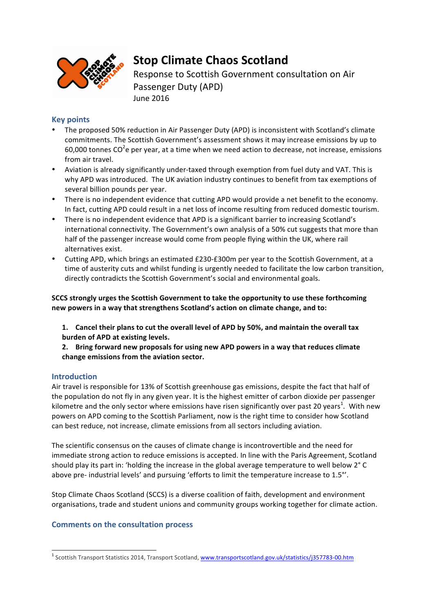

# **Stop Climate Chaos Scotland**

Response to Scottish Government consultation on Air Passenger Duty (APD) June 2016

## **Key points**

- The proposed 50% reduction in Air Passenger Duty (APD) is inconsistent with Scotland's climate commitments. The Scottish Government's assessment shows it may increase emissions by up to 60,000 tonnes CO<sup>2</sup>e per year, at a time when we need action to decrease, not increase, emissions from air travel.
- Aviation is already significantly under-taxed through exemption from fuel duty and VAT. This is why APD was introduced. The UK aviation industry continues to benefit from tax exemptions of several billion pounds per vear.
- There is no independent evidence that cutting APD would provide a net benefit to the economy. In fact, cutting APD could result in a net loss of income resulting from reduced domestic tourism.
- There is no independent evidence that APD is a significant barrier to increasing Scotland's international connectivity. The Government's own analysis of a 50% cut suggests that more than half of the passenger increase would come from people flying within the UK, where rail alternatives exist.
- Cutting APD, which brings an estimated £230-£300m per year to the Scottish Government, at a time of austerity cuts and whilst funding is urgently needed to facilitate the low carbon transition, directly contradicts the Scottish Government's social and environmental goals.

SCCS strongly urges the Scottish Government to take the opportunity to use these forthcoming new powers in a way that strengthens Scotland's action on climate change, and to:

1. Cancel their plans to cut the overall level of APD by 50%, and maintain the overall tax **burden of APD at existing levels.** 

**2.** Bring forward new proposals for using new APD powers in a way that reduces climate change emissions from the aviation sector.

## **Introduction**

Air travel is responsible for 13% of Scottish greenhouse gas emissions, despite the fact that half of the population do not fly in any given year. It is the highest emitter of carbon dioxide per passenger kilometre and the only sector where emissions have risen significantly over past 20 years<sup>1</sup>. With new powers on APD coming to the Scottish Parliament, now is the right time to consider how Scotland can best reduce, not increase, climate emissions from all sectors including aviation.

The scientific consensus on the causes of climate change is incontrovertible and the need for immediate strong action to reduce emissions is accepted. In line with the Paris Agreement, Scotland should play its part in: 'holding the increase in the global average temperature to well below 2° C above pre- industrial levels' and pursuing 'efforts to limit the temperature increase to 1.5°'.

Stop Climate Chaos Scotland (SCCS) is a diverse coalition of faith, development and environment organisations, trade and student unions and community groups working together for climate action.

## **Comments on the consultation process**

<sup>&</sup>lt;sup>1</sup> Scottish Transport Statistics 2014, Transport Scotland, www.transportscotland.gov.uk/statistics/j357783-00.htm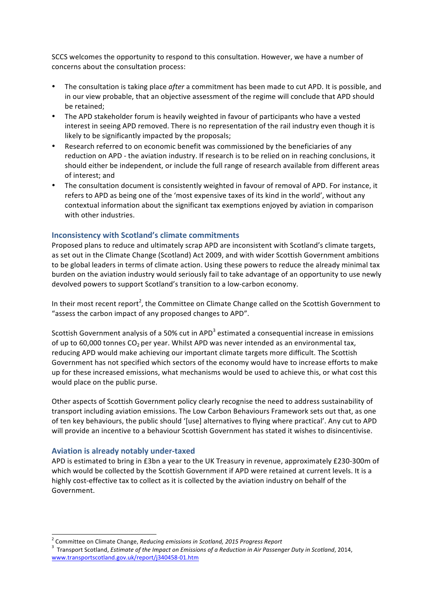SCCS welcomes the opportunity to respond to this consultation. However, we have a number of concerns about the consultation process:

- The consultation is taking place *after* a commitment has been made to cut APD. It is possible, and in our view probable, that an objective assessment of the regime will conclude that APD should be retained:
- The APD stakeholder forum is heavily weighted in favour of participants who have a vested interest in seeing APD removed. There is no representation of the rail industry even though it is likely to be significantly impacted by the proposals;
- Research referred to on economic benefit was commissioned by the beneficiaries of any reduction on APD - the aviation industry. If research is to be relied on in reaching conclusions, it should either be independent, or include the full range of research available from different areas of interest; and
- The consultation document is consistently weighted in favour of removal of APD. For instance, it refers to APD as being one of the 'most expensive taxes of its kind in the world', without any contextual information about the significant tax exemptions enjoyed by aviation in comparison with other industries.

## **Inconsistency with Scotland's climate commitments**

Proposed plans to reduce and ultimately scrap APD are inconsistent with Scotland's climate targets, as set out in the Climate Change (Scotland) Act 2009, and with wider Scottish Government ambitions to be global leaders in terms of climate action. Using these powers to reduce the already minimal tax burden on the aviation industry would seriously fail to take advantage of an opportunity to use newly devolved powers to support Scotland's transition to a low-carbon economy.

In their most recent report<sup>2</sup>, the Committee on Climate Change called on the Scottish Government to "assess the carbon impact of any proposed changes to APD".

Scottish Government analysis of a 50% cut in APD<sup>3</sup> estimated a consequential increase in emissions of up to 60,000 tonnes  $CO<sub>2</sub>$  per year. Whilst APD was never intended as an environmental tax, reducing APD would make achieving our important climate targets more difficult. The Scottish Government has not specified which sectors of the economy would have to increase efforts to make up for these increased emissions, what mechanisms would be used to achieve this, or what cost this would place on the public purse.

Other aspects of Scottish Government policy clearly recognise the need to address sustainability of transport including aviation emissions. The Low Carbon Behaviours Framework sets out that, as one of ten key behaviours, the public should '[use] alternatives to flying where practical'. Any cut to APD will provide an incentive to a behaviour Scottish Government has stated it wishes to disincentivise.

#### **Aviation is already notably under-taxed**

APD is estimated to bring in £3bn a year to the UK Treasury in revenue, approximately £230-300m of which would be collected by the Scottish Government if APD were retained at current levels. It is a highly cost-effective tax to collect as it is collected by the aviation industry on behalf of the Government. 

<sup>&</sup>lt;sup>2</sup> Committee on Climate Change, *Reducing emissions in Scotland, 2015 Progress Report* 

<sup>&</sup>lt;sup>3</sup> Transport Scotland, *Estimate of the Impact on Emissions of a Reduction in Air Passenger Duty in Scotland, 2014,* www.transportscotland.gov.uk/report/j340458-01.htm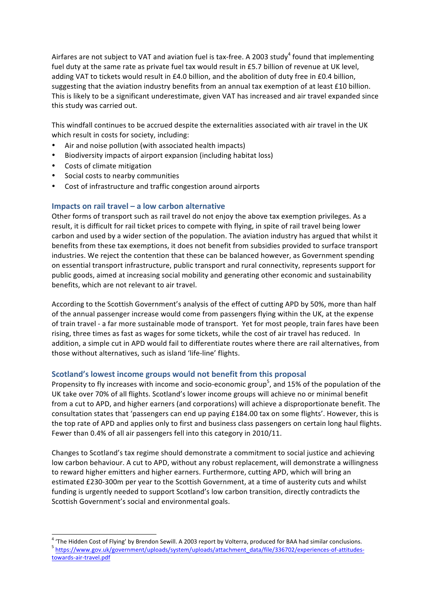Airfares are not subject to VAT and aviation fuel is tax-free. A 2003 study<sup>4</sup> found that implementing fuel duty at the same rate as private fuel tax would result in £5.7 billion of revenue at UK level, adding VAT to tickets would result in £4.0 billion, and the abolition of duty free in £0.4 billion, suggesting that the aviation industry benefits from an annual tax exemption of at least £10 billion. This is likely to be a significant underestimate, given VAT has increased and air travel expanded since this study was carried out.

This windfall continues to be accrued despite the externalities associated with air travel in the UK which result in costs for society, including:

- Air and noise pollution (with associated health impacts)
- Biodiversity impacts of airport expansion (including habitat loss)
- Costs of climate mitigation
- Social costs to nearby communities
- Cost of infrastructure and traffic congestion around airports

#### **Impacts on rail travel – a low carbon alternative**

Other forms of transport such as rail travel do not enjoy the above tax exemption privileges. As a result, it is difficult for rail ticket prices to compete with flying, in spite of rail travel being lower carbon and used by a wider section of the population. The aviation industry has argued that whilst it benefits from these tax exemptions, it does not benefit from subsidies provided to surface transport industries. We reject the contention that these can be balanced however, as Government spending on essential transport infrastructure, public transport and rural connectivity, represents support for public goods, aimed at increasing social mobility and generating other economic and sustainability benefits, which are not relevant to air travel.

According to the Scottish Government's analysis of the effect of cutting APD by 50%, more than half of the annual passenger increase would come from passengers flying within the UK, at the expense of train travel - a far more sustainable mode of transport. Yet for most people, train fares have been rising, three times as fast as wages for some tickets, while the cost of air travel has reduced. In addition, a simple cut in APD would fail to differentiate routes where there are rail alternatives, from those without alternatives, such as island 'life-line' flights.

#### Scotland's lowest income groups would not benefit from this proposal

Propensity to fly increases with income and socio-economic group<sup>5</sup>, and 15% of the population of the UK take over 70% of all flights. Scotland's lower income groups will achieve no or minimal benefit from a cut to APD, and higher earners (and corporations) will achieve a disproportionate benefit. The consultation states that 'passengers can end up paying £184.00 tax on some flights'. However, this is the top rate of APD and applies only to first and business class passengers on certain long haul flights. Fewer than 0.4% of all air passengers fell into this category in 2010/11.

Changes to Scotland's tax regime should demonstrate a commitment to social justice and achieving low carbon behaviour. A cut to APD, without any robust replacement, will demonstrate a willingness to reward higher emitters and higher earners. Furthermore, cutting APD, which will bring an estimated £230-300m per year to the Scottish Government, at a time of austerity cuts and whilst funding is urgently needed to support Scotland's low carbon transition, directly contradicts the Scottish Government's social and environmental goals.

<sup>&</sup>lt;sup>4</sup> 'The Hidden Cost of Flying' by Brendon Sewill. A 2003 report by Volterra, produced for BAA had similar conclusions.<br><sup>5</sup> https://www.gov.uk/government/uploads/system/uploads/attachment\_data/file/336702/experiences-of-at towards-air-travel.pdf